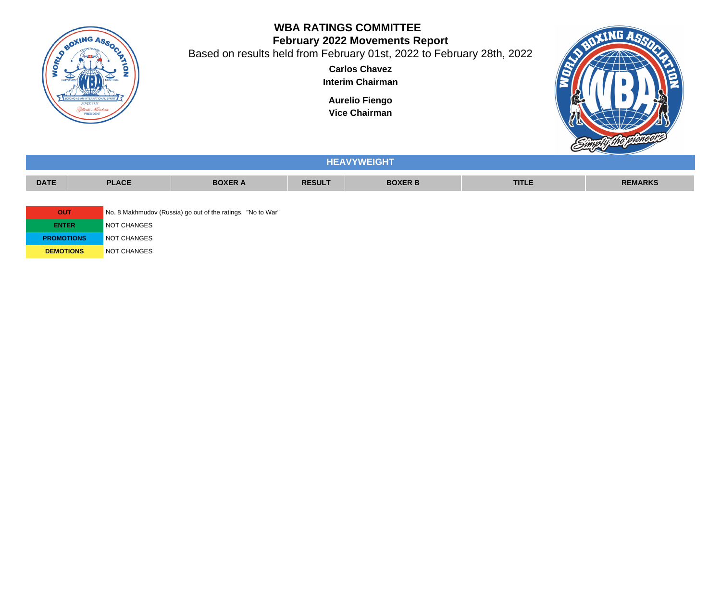

## **WBA RATINGS COMMITTEE February 2022 Movements Report**

Based on results held from February 01st, 2022 to February 28th, 2022

**Carlos Chavez Interim Chairman**

**Aurelio Fiengo**

**Vice Chairman**



|                   |              |                                                             |               | <b>HEAVYWEIGHT</b> |              |                |
|-------------------|--------------|-------------------------------------------------------------|---------------|--------------------|--------------|----------------|
| <b>DATE</b>       | <b>PLACE</b> | <b>BOXER A</b>                                              | <b>RESULT</b> | <b>BOXER B</b>     | <b>TITLE</b> | <b>REMARKS</b> |
|                   |              |                                                             |               |                    |              |                |
| <b>OUT</b>        |              | No. 8 Makhmudov (Russia) go out of the ratings, "No to War" |               |                    |              |                |
| <b>ENTER</b>      | NOT CHANGES  |                                                             |               |                    |              |                |
| <b>PROMOTIONS</b> | NOT CHANGES  |                                                             |               |                    |              |                |
| <b>DEMOTIONS</b>  | NOT CHANGES  |                                                             |               |                    |              |                |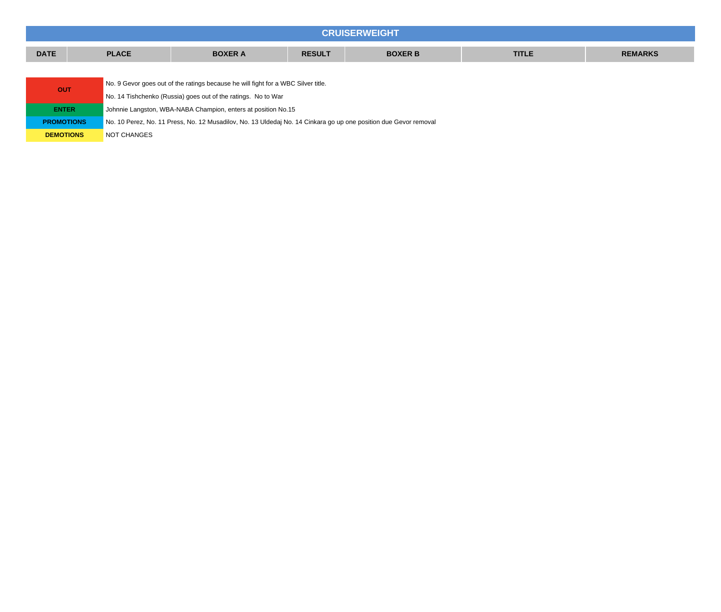| <b>CRUISERWEIGHT</b> |              |                                                                                                                  |               |                |              |                |  |  |  |  |
|----------------------|--------------|------------------------------------------------------------------------------------------------------------------|---------------|----------------|--------------|----------------|--|--|--|--|
| <b>DATE</b>          | <b>PLACE</b> | <b>BOXER A</b>                                                                                                   | <b>RESULT</b> | <b>BOXER B</b> | <b>TITLE</b> | <b>REMARKS</b> |  |  |  |  |
|                      |              |                                                                                                                  |               |                |              |                |  |  |  |  |
| <b>OUT</b>           |              | No. 9 Gevor goes out of the ratings because he will fight for a WBC Silver title.                                |               |                |              |                |  |  |  |  |
|                      |              | No. 14 Tishchenko (Russia) goes out of the ratings. No to War                                                    |               |                |              |                |  |  |  |  |
| <b>ENTER</b>         |              | Johnnie Langston, WBA-NABA Champion, enters at position No.15                                                    |               |                |              |                |  |  |  |  |
| <b>PROMOTIONS</b>    |              | No. 10 Perez, No. 11 Press, No. 12 Musadilov, No. 13 Uldedaj No. 14 Cinkara go up one position due Gevor removal |               |                |              |                |  |  |  |  |
| <b>DEMOTIONS</b>     | NOT CHANGES  |                                                                                                                  |               |                |              |                |  |  |  |  |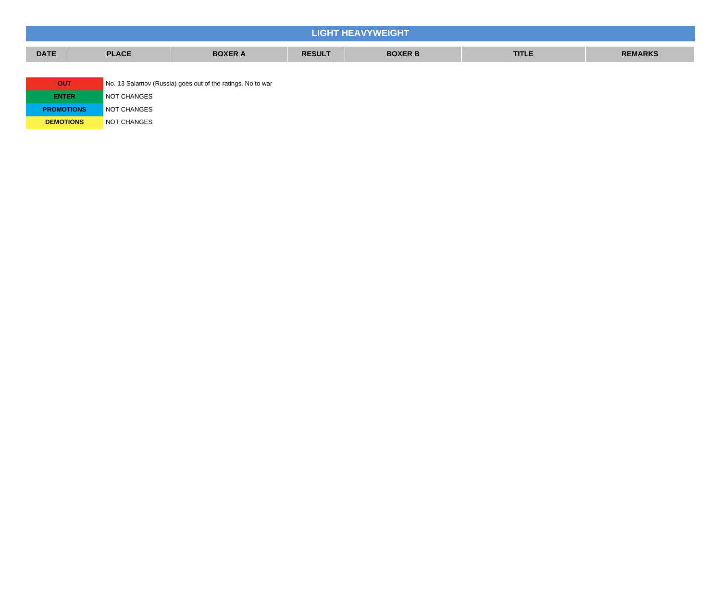|                                                                          |                                  |                |               | <b>LIGHT HEAVYWEIGHT</b> |              |                |
|--------------------------------------------------------------------------|----------------------------------|----------------|---------------|--------------------------|--------------|----------------|
| <b>DATE</b>                                                              | <b>PLACE</b>                     | <b>BOXER A</b> | <b>RESULT</b> | <b>BOXER B</b>           | <b>TITLE</b> | <b>REMARKS</b> |
|                                                                          |                                  |                |               |                          |              |                |
| <b>OUT</b><br>No. 13 Salamov (Russia) goes out of the ratings. No to war |                                  |                |               |                          |              |                |
| NOT CHANGES<br><b>ENTER</b>                                              |                                  |                |               |                          |              |                |
|                                                                          | NOT CHANGES<br><b>PROMOTIONS</b> |                |               |                          |              |                |

**DEMOTIONS** NOT CHANGES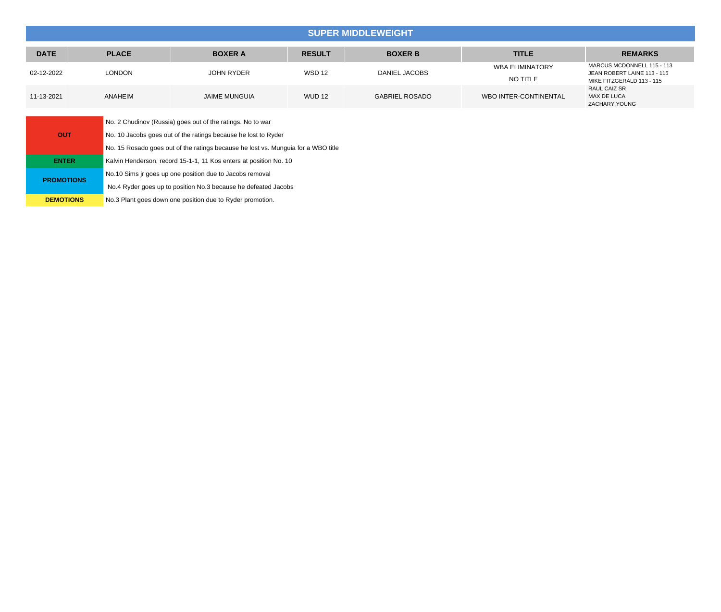|                   | <b>SUPER MIDDLEWEIGHT</b>                                |                                                                                   |               |                       |                                    |                                                                                        |  |
|-------------------|----------------------------------------------------------|-----------------------------------------------------------------------------------|---------------|-----------------------|------------------------------------|----------------------------------------------------------------------------------------|--|
| <b>DATE</b>       | <b>PLACE</b>                                             | <b>BOXER A</b>                                                                    | <b>RESULT</b> | <b>BOXER B</b>        | <b>TITLE</b>                       | <b>REMARKS</b>                                                                         |  |
| 02-12-2022        | <b>LONDON</b>                                            | <b>JOHN RYDER</b>                                                                 | <b>WSD 12</b> | DANIEL JACOBS         | <b>WBA ELIMINATORY</b><br>NO TITLE | MARCUS MCDONNELL 115 - 113<br>JEAN ROBERT LAINE 113 - 115<br>MIKE FITZGERALD 113 - 115 |  |
| 11-13-2021        | ANAHEIM                                                  | <b>JAIME MUNGUIA</b>                                                              | <b>WUD 12</b> | <b>GABRIEL ROSADO</b> | WBO INTER-CONTINENTAL              | RAUL CAIZ SR<br>MAX DE LUCA<br>ZACHARY YOUNG                                           |  |
|                   |                                                          | No. 2 Chudinov (Russia) goes out of the ratings. No to war                        |               |                       |                                    |                                                                                        |  |
| <b>OUT</b>        |                                                          | No. 10 Jacobs goes out of the ratings because he lost to Ryder                    |               |                       |                                    |                                                                                        |  |
|                   |                                                          | No. 15 Rosado goes out of the ratings because he lost vs. Munguia for a WBO title |               |                       |                                    |                                                                                        |  |
| <b>ENTER</b>      |                                                          | Kalvin Henderson, record 15-1-1, 11 Kos enters at position No. 10                 |               |                       |                                    |                                                                                        |  |
|                   | No.10 Sims jr goes up one position due to Jacobs removal |                                                                                   |               |                       |                                    |                                                                                        |  |
| <b>PROMOTIONS</b> |                                                          | No.4 Ryder goes up to position No.3 because he defeated Jacobs                    |               |                       |                                    |                                                                                        |  |
| <b>DEMOTIONS</b>  |                                                          | No.3 Plant goes down one position due to Ryder promotion.                         |               |                       |                                    |                                                                                        |  |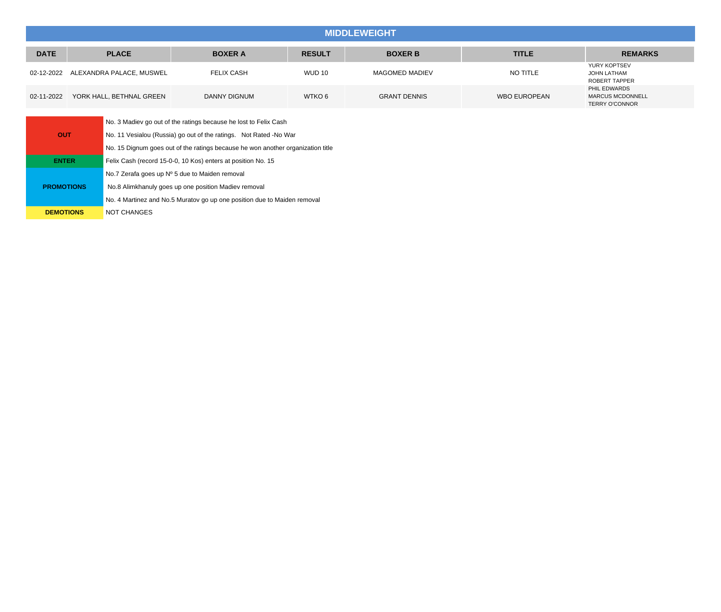## **MIDDLEWEIGHT**

| <b>DATE</b> | <b>PLACE</b>                        | <b>BOXER A</b>    | <b>RESULT</b> | <b>BOXER B</b>      | <b>TITLE</b>        | <b>REMARKS</b>                                                   |
|-------------|-------------------------------------|-------------------|---------------|---------------------|---------------------|------------------------------------------------------------------|
|             | 02-12-2022 ALEXANDRA PALACE, MUSWEL | <b>FELIX CASH</b> | <b>WUD 10</b> | MAGOMED MADIEV      | NO TITLE            | YURY KOPTSEV<br>JOHN LATHAM<br>ROBERT TAPPER                     |
| 02-11-2022  | YORK HALL, BETHNAL GREEN            | DANNY DIGNUM      | WTKO 6        | <b>GRANT DENNIS</b> | <b>WBO EUROPEAN</b> | PHIL EDWARDS<br><b>MARCUS MCDONNELL</b><br><b>TERRY O'CONNOR</b> |

|                   | No. 3 Madiev go out of the ratings because he lost to Felix Cash                |  |  |  |
|-------------------|---------------------------------------------------------------------------------|--|--|--|
| <b>OUT</b>        | No. 11 Vesialou (Russia) go out of the ratings. Not Rated -No War               |  |  |  |
|                   | No. 15 Dignum goes out of the ratings because he won another organization title |  |  |  |
| <b>ENTER</b>      | Felix Cash (record 15-0-0, 10 Kos) enters at position No. 15                    |  |  |  |
|                   | No.7 Zerafa goes up Nº 5 due to Maiden removal                                  |  |  |  |
| <b>PROMOTIONS</b> | No.8 Alimkhanuly goes up one position Madiev removal                            |  |  |  |
|                   | No. 4 Martinez and No.5 Muratov go up one position due to Maiden removal        |  |  |  |
| <b>DEMOTIONS</b>  | <b>NOT CHANGES</b>                                                              |  |  |  |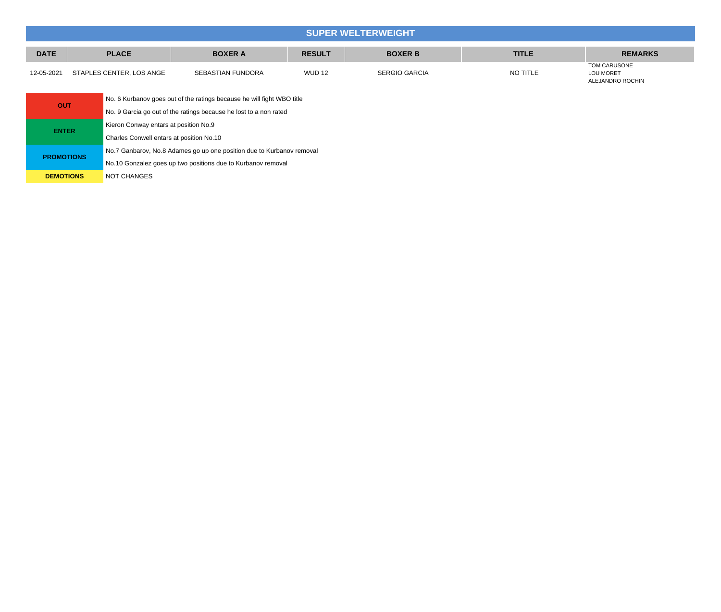## **SUPER WELTERWEIGHT DATE PLACE BOXER A RESULT BOXER B TITLE REMARKS** 12-05-2021 STAPLES CENTER, LOS ANGE SEBASTIAN FUNDORA WUD 12 SERGIO GARCIA NO TITLE TOM CARUSONE LOU MORET ALEJANDRO ROCHIN **OUT** No. 6 Kurbanov goes out of the ratings because he will fight WBO title No. 9 Garcia go out of the ratings because he lost to a non rated **ENTER** Kieron Conway entars at position No.9 Charles Conwell entars at position No.10 No.7 Ganbarov, No.8 Adames go up one position due to Kurbanov removal

**PROMOTIONS** No.10 Gonzalez goes up two positions due to Kurbanov removal

**DEMOTIONS** NOT CHANGES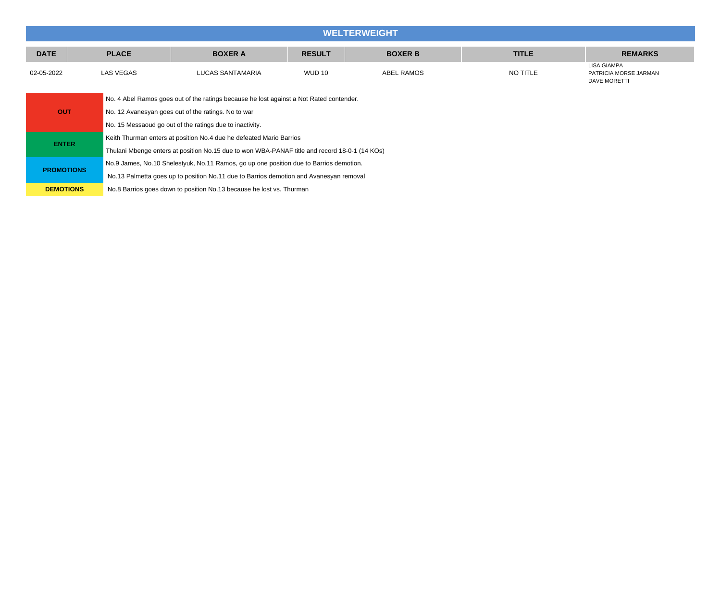|                   | <b>WELTERWEIGHT</b>                                                                     |                                                                                               |               |                |              |                                                             |  |  |  |  |
|-------------------|-----------------------------------------------------------------------------------------|-----------------------------------------------------------------------------------------------|---------------|----------------|--------------|-------------------------------------------------------------|--|--|--|--|
| <b>DATE</b>       | <b>PLACE</b>                                                                            | <b>BOXER A</b>                                                                                | <b>RESULT</b> | <b>BOXER B</b> | <b>TITLE</b> | <b>REMARKS</b>                                              |  |  |  |  |
| 02-05-2022        | <b>LAS VEGAS</b>                                                                        | <b>LUCAS SANTAMARIA</b>                                                                       | <b>WUD 10</b> | ABEL RAMOS     | NO TITLE     | LISA GIAMPA<br>PATRICIA MORSE JARMAN<br><b>DAVE MORETTI</b> |  |  |  |  |
|                   | No. 4 Abel Ramos goes out of the ratings because he lost against a Not Rated contender. |                                                                                               |               |                |              |                                                             |  |  |  |  |
| <b>OUT</b>        |                                                                                         | No. 12 Avanesyan goes out of the ratings. No to war                                           |               |                |              |                                                             |  |  |  |  |
|                   |                                                                                         | No. 15 Messaoud go out of the ratings due to inactivity.                                      |               |                |              |                                                             |  |  |  |  |
| <b>ENTER</b>      |                                                                                         | Keith Thurman enters at position No.4 due he defeated Mario Barrios                           |               |                |              |                                                             |  |  |  |  |
|                   |                                                                                         | Thulani Mbenge enters at position No.15 due to won WBA-PANAF title and record 18-0-1 (14 KOs) |               |                |              |                                                             |  |  |  |  |
| <b>PROMOTIONS</b> |                                                                                         | No.9 James, No.10 Shelestyuk, No.11 Ramos, go up one position due to Barrios demotion.        |               |                |              |                                                             |  |  |  |  |
|                   |                                                                                         | No.13 Palmetta goes up to position No.11 due to Barrios demotion and Avanesyan removal        |               |                |              |                                                             |  |  |  |  |
| <b>DEMOTIONS</b>  |                                                                                         | No.8 Barrios goes down to position No.13 because he lost vs. Thurman                          |               |                |              |                                                             |  |  |  |  |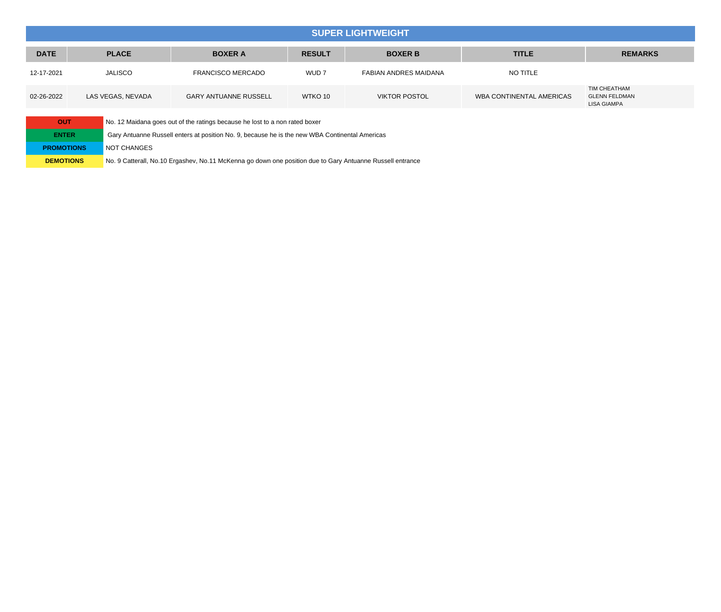## **SUPER LIGHTWEIGHT**

| <b>DATE</b> | <b>PLACE</b>      | <b>BOXER A</b>               | <b>RESULT</b>    | <b>BOXER B</b>        | <b>TITLE</b>             | <b>REMARKS</b>                                             |
|-------------|-------------------|------------------------------|------------------|-----------------------|--------------------------|------------------------------------------------------------|
| 12-17-2021  | <b>JALISCO</b>    | <b>FRANCISCO MERCADO</b>     | WUD <sub>7</sub> | FABIAN ANDRES MAIDANA | NO TITLE                 |                                                            |
| 02-26-2022  | LAS VEGAS, NEVADA | <b>GARY ANTUANNE RUSSELL</b> | WTKO 10          | <b>VIKTOR POSTOL</b>  | WBA CONTINENTAL AMERICAS | TIM CHEATHAM<br><b>GLENN FELDMAN</b><br><b>LISA GIAMPA</b> |

| <b>OUT</b>        | No. 12 Maidana goes out of the ratings because he lost to a non rated boxer                               |
|-------------------|-----------------------------------------------------------------------------------------------------------|
| <b>ENTER</b>      | Gary Antuanne Russell enters at position No. 9, because he is the new WBA Continental Americas            |
| <b>PROMOTIONS</b> | NOT CHANGES                                                                                               |
| <b>DEMOTIONS</b>  | No. 9 Catterall, No.10 Ergashev, No.11 McKenna go down one position due to Gary Antuanne Russell entrance |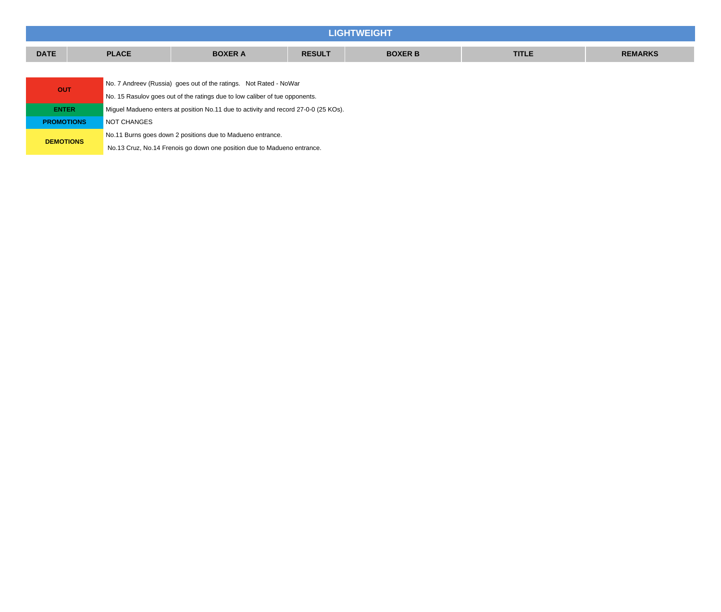|                   |  |                                                                                                     |                                                                                     |  | <b>LIGHTWEIGHT</b> |  |  |  |  |  |
|-------------------|--|-----------------------------------------------------------------------------------------------------|-------------------------------------------------------------------------------------|--|--------------------|--|--|--|--|--|
| <b>DATE</b>       |  | <b>BOXER B</b><br><b>PLACE</b><br><b>BOXER A</b><br><b>TITLE</b><br><b>RESULT</b><br><b>REMARKS</b> |                                                                                     |  |                    |  |  |  |  |  |
|                   |  |                                                                                                     |                                                                                     |  |                    |  |  |  |  |  |
| <b>OUT</b>        |  | No. 7 Andreev (Russia) goes out of the ratings. Not Rated - NoWar                                   |                                                                                     |  |                    |  |  |  |  |  |
|                   |  | No. 15 Rasulov goes out of the ratings due to low caliber of tue opponents.                         |                                                                                     |  |                    |  |  |  |  |  |
| <b>ENTER</b>      |  |                                                                                                     | Miquel Madueno enters at position No.11 due to activity and record 27-0-0 (25 KOs). |  |                    |  |  |  |  |  |
| <b>PROMOTIONS</b> |  | NOT CHANGES                                                                                         |                                                                                     |  |                    |  |  |  |  |  |
|                   |  | No.11 Burns goes down 2 positions due to Madueno entrance.                                          |                                                                                     |  |                    |  |  |  |  |  |
| <b>DEMOTIONS</b>  |  |                                                                                                     | No.13 Cruz, No.14 Frenois go down one position due to Madueno entrance.             |  |                    |  |  |  |  |  |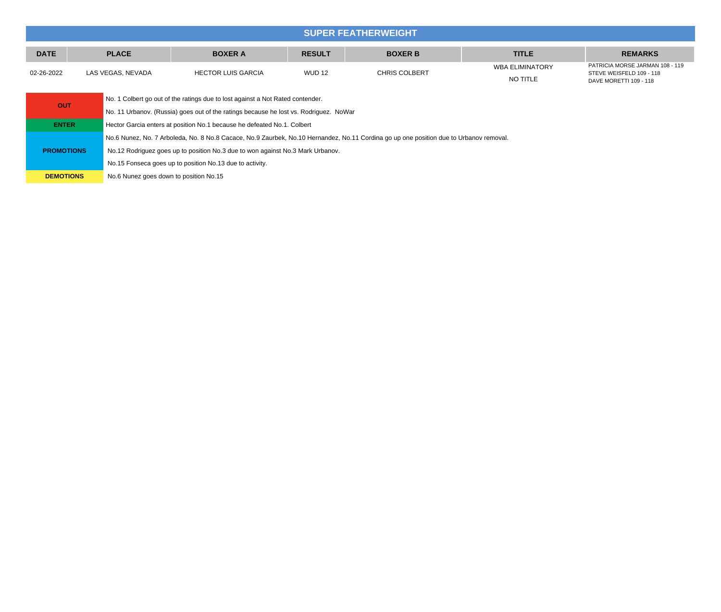|             |                   |                    |               | <b>SUPER FEATHERWEIGHT!</b> |                             |                                                                                       |
|-------------|-------------------|--------------------|---------------|-----------------------------|-----------------------------|---------------------------------------------------------------------------------------|
| <b>DATE</b> | <b>PLACE</b>      | <b>BOXER A</b>     | <b>RESULT</b> | <b>BOXER B</b>              | <b>TITLE</b>                | <b>REMARKS</b>                                                                        |
| 02-26-2022  | LAS VEGAS. NEVADA | HECTOR LUIS GARCIA | <b>WUD 12</b> | <b>CHRIS COLBERT</b>        | WBA ELIMINATORY<br>NO TITLE | PATRICIA MORSE JARMAN 108 - 119<br>STEVE WEISFELD 109 - 118<br>DAVE MORETTI 109 - 118 |

| <b>OUT</b>        | No. 1 Colbert go out of the ratings due to lost against a Not Rated contender.                                                         |  |  |  |  |
|-------------------|----------------------------------------------------------------------------------------------------------------------------------------|--|--|--|--|
|                   | No. 11 Urbanov. (Russia) goes out of the ratings because he lost vs. Rodriguez. NoWar                                                  |  |  |  |  |
| <b>ENTER</b>      | Hector Garcia enters at position No.1 because he defeated No.1. Colbert                                                                |  |  |  |  |
|                   | No.6 Nunez, No. 7 Arboleda, No. 8 No.8 Cacace, No.9 Zaurbek, No.10 Hernandez, No.11 Cordina go up one position due to Urbanov removal. |  |  |  |  |
| <b>PROMOTIONS</b> | No.12 Rodriguez goes up to position No.3 due to won against No.3 Mark Urbanov.                                                         |  |  |  |  |
|                   | No.15 Fonseca goes up to position No.13 due to activity.                                                                               |  |  |  |  |
| <b>DEMOTIONS</b>  | No.6 Nunez goes down to position No.15                                                                                                 |  |  |  |  |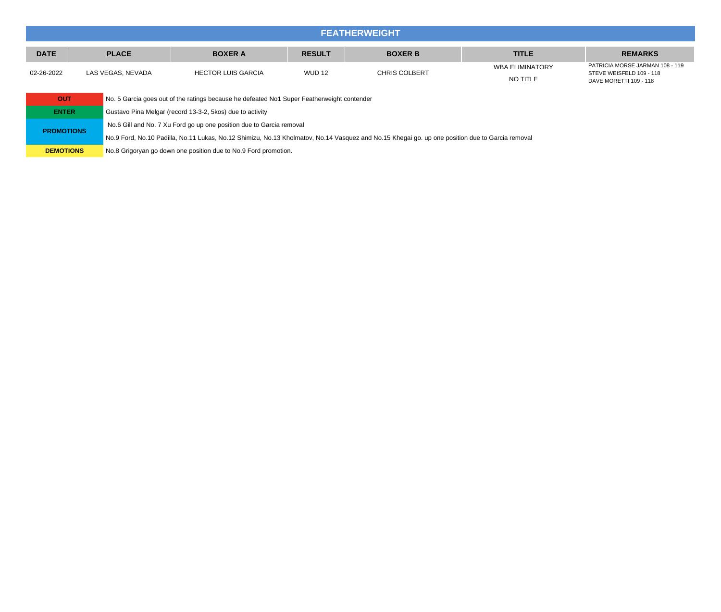|             | <b>FEATHERWEIGHT</b> |                           |               |                      |                                    |                                                                                       |  |  |  |
|-------------|----------------------|---------------------------|---------------|----------------------|------------------------------------|---------------------------------------------------------------------------------------|--|--|--|
| <b>DATE</b> | <b>PLACE</b>         | <b>BOXER A</b>            | <b>RESULT</b> | <b>BOXER B</b>       | <b>TITLE</b>                       | <b>REMARKS</b>                                                                        |  |  |  |
| 02-26-2022  | LAS VEGAS, NEVADA    | <b>HECTOR LUIS GARCIA</b> | <b>WUD 12</b> | <b>CHRIS COLBERT</b> | <b>WBA ELIMINATORY</b><br>NO TITLE | PATRICIA MORSE JARMAN 108 - 119<br>STEVE WEISFELD 109 - 118<br>DAVE MORETTI 109 - 118 |  |  |  |

| <b>OUT</b>        | No. 5 Garcia goes out of the ratings because he defeated No1 Super Featherweight contender                                                      |
|-------------------|-------------------------------------------------------------------------------------------------------------------------------------------------|
| <b>ENTER</b>      | Gustavo Pina Melgar (record 13-3-2, 5 kos) due to activity                                                                                      |
| <b>PROMOTIONS</b> | No.6 Gill and No. 7 Xu Ford go up one position due to Garcia removal                                                                            |
|                   | No.9 Ford, No.10 Padilla, No.11 Lukas, No.12 Shimizu, No.13 Kholmatov, No.14 Vasquez and No.15 Khegai go. up one position due to Garcia removal |
| <b>DEMOTIONS</b>  | No.8 Grigoryan go down one position due to No.9 Ford promotion.                                                                                 |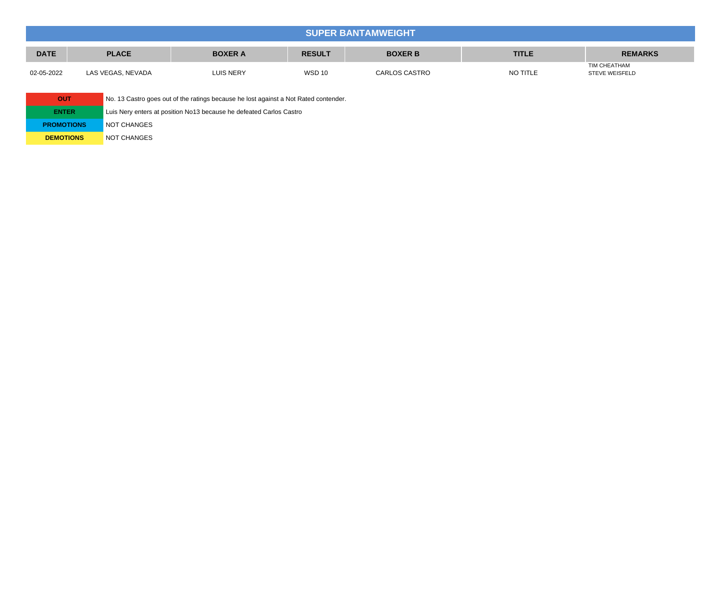| <b>SUPER BANTAMWEIGHT</b> |                   |                  |               |                |              |                                       |  |
|---------------------------|-------------------|------------------|---------------|----------------|--------------|---------------------------------------|--|
| <b>DATE</b>               | <b>PLACE</b>      | <b>BOXER A</b>   | <b>RESULT</b> | <b>BOXER B</b> | <b>TITLE</b> | <b>REMARKS</b>                        |  |
| 02-05-2022                | LAS VEGAS, NEVADA | <b>LUIS NERY</b> | <b>WSD 10</b> | CARLOS CASTRO  | NO TITLE     | TIM CHEATHAM<br><b>STEVE WEISFELD</b> |  |

| <b>OUT</b>        | No. 13 Castro goes out of the ratings because he lost against a Not Rated contender. |
|-------------------|--------------------------------------------------------------------------------------|
| <b>ENTER</b>      | Luis Nery enters at position No13 because he defeated Carlos Castro                  |
| <b>PROMOTIONS</b> | <b>NOT CHANGES</b>                                                                   |
| <b>DEMOTIONS</b>  | <b>NOT CHANGES</b>                                                                   |
|                   |                                                                                      |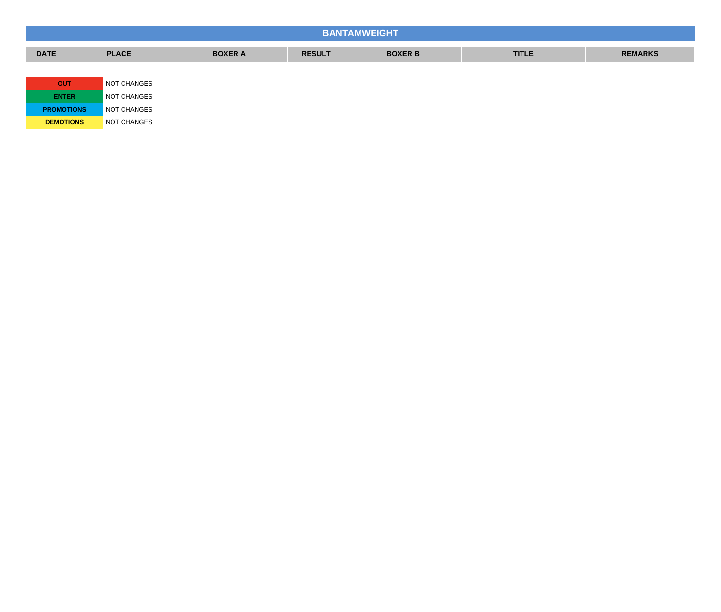| <b>BANTAMWEIGHT</b> |              |                |               |                |              |                |  |  |
|---------------------|--------------|----------------|---------------|----------------|--------------|----------------|--|--|
| <b>DATE</b>         | <b>PLACE</b> | <b>BOXER A</b> | <b>RESULT</b> | <b>BOXER B</b> | <b>TITLE</b> | <b>REMARKS</b> |  |  |
|                     |              |                |               |                |              |                |  |  |
| <b>OUT</b>          | NOT CHANGES  |                |               |                |              |                |  |  |
| <b>ENTER</b>        | NOT CHANGES  |                |               |                |              |                |  |  |
| <b>PROMOTIONS</b>   | NOT CHANGES  |                |               |                |              |                |  |  |
| <b>DEMOTIONS</b>    | NOT CHANGES  |                |               |                |              |                |  |  |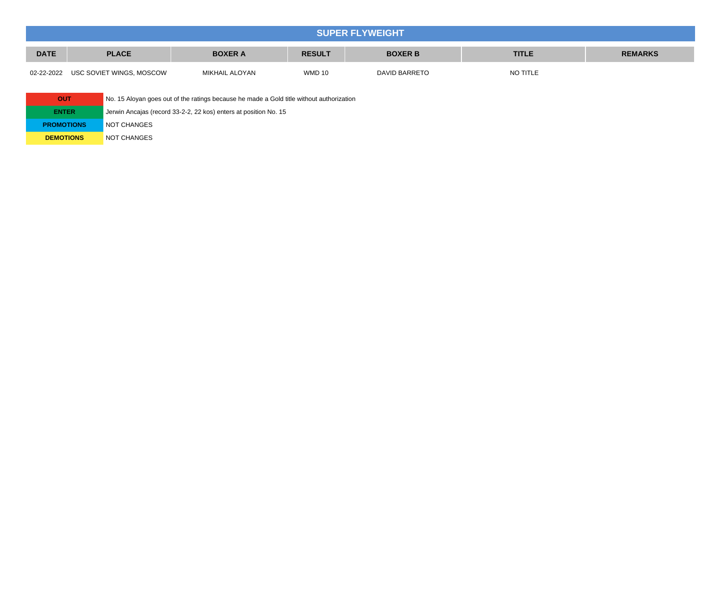| <b>SUPER FLYWEIGHT</b> |                                                                                                     |                |               |               |          |  |  |  |
|------------------------|-----------------------------------------------------------------------------------------------------|----------------|---------------|---------------|----------|--|--|--|
| <b>DATE</b>            | <b>PLACE</b><br><b>BOXER A</b><br><b>BOXER B</b><br><b>TITLE</b><br><b>REMARKS</b><br><b>RESULT</b> |                |               |               |          |  |  |  |
|                        | 02-22-2022 USC SOVIET WINGS, MOSCOW                                                                 | MIKHAIL ALOYAN | <b>WMD 10</b> | DAVID BARRETO | NO TITLE |  |  |  |

| OUT               | No. 15 Aloyan goes out of the ratings because he made a Gold title without authorization |
|-------------------|------------------------------------------------------------------------------------------|
| <b>ENTER</b>      | Jerwin Ancajas (record 33-2-2, 22 kos) enters at position No. 15                         |
| <b>PROMOTIONS</b> | NOT CHANGES                                                                              |
| <b>DEMOTIONS</b>  | <b>NOT CHANGES</b>                                                                       |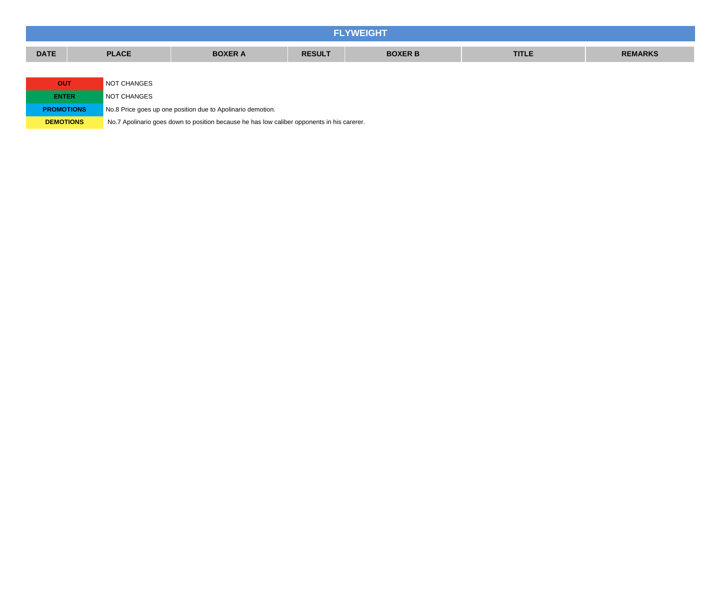| <b>FLYWEIGHT</b>  |                           |                                                             |               |                |              |                |  |  |
|-------------------|---------------------------|-------------------------------------------------------------|---------------|----------------|--------------|----------------|--|--|
| <b>DATE</b>       | <b>PLACE</b>              | <b>BOXER A</b>                                              | <b>RESULT</b> | <b>BOXER B</b> | <b>TITLE</b> | <b>REMARKS</b> |  |  |
|                   |                           |                                                             |               |                |              |                |  |  |
|                   | NOT CHANGES<br><b>OUT</b> |                                                             |               |                |              |                |  |  |
| <b>ENTER</b>      | NOT CHANGES               |                                                             |               |                |              |                |  |  |
| <b>PROMOTIONS</b> |                           | No.8 Price goes up one position due to Apolinario demotion. |               |                |              |                |  |  |

**DEMOTIONS** No.7 Apolinario goes down to position because he has low caliber opponents in his carerer.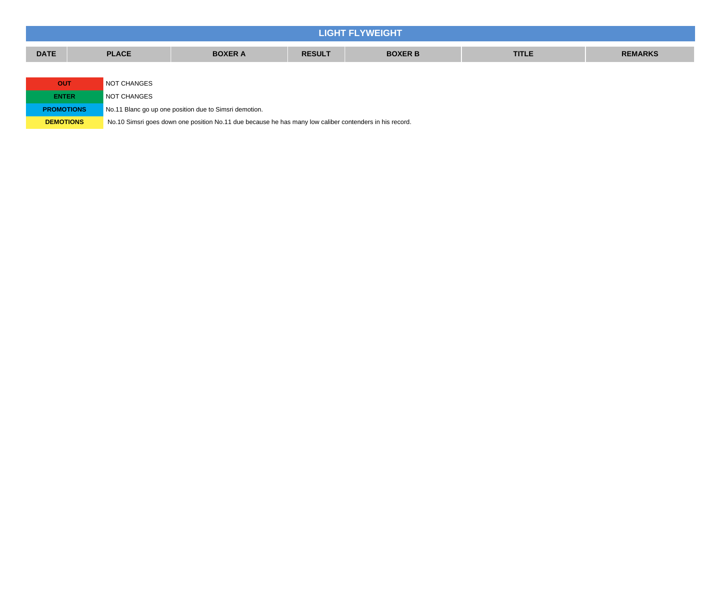| <b>LIGHT FLYWEIGHT</b> |              |                                                                                                         |  |  |  |  |  |  |  |
|------------------------|--------------|---------------------------------------------------------------------------------------------------------|--|--|--|--|--|--|--|
| <b>DATE</b>            | <b>PLACE</b> | <b>REMARKS</b><br><b>BOXER A</b><br><b>RESULT</b><br><b>BOXER B</b><br><b>TITLE</b>                     |  |  |  |  |  |  |  |
|                        |              |                                                                                                         |  |  |  |  |  |  |  |
| <b>OUT</b>             | NOT CHANGES  |                                                                                                         |  |  |  |  |  |  |  |
| <b>ENTER</b>           | NOT CHANGES  |                                                                                                         |  |  |  |  |  |  |  |
| <b>PROMOTIONS</b>      |              | No.11 Blanc go up one position due to Simsri demotion.                                                  |  |  |  |  |  |  |  |
| <b>DEMOTIONS</b>       |              | No.10 Simsri goes down one position No.11 due because he has many low caliber contenders in his record. |  |  |  |  |  |  |  |